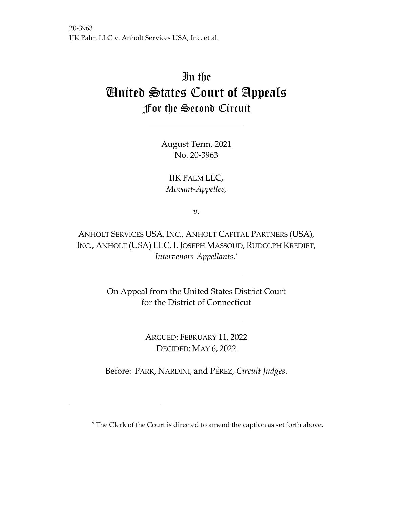# In the United States Court of Appeals For the Second Circuit

August Term, 2021 No. 20-3963

IJK PALM LLC, *Movant-Appellee,*

*v.*

ANHOLT SERVICES USA, INC., ANHOLT CAPITAL PARTNERS (USA), INC., ANHOLT (USA) LLC, I. JOSEPH MASSOUD, RUDOLPH KREDIET, *Intervenors-Appellants*.[\\*](#page-0-0)

> On Appeal from the United States District Court for the District of Connecticut

> > ARGUED: FEBRUARY 11, 2022 DECIDED: MAY 6, 2022

Before: PARK, NARDINI, and PÉREZ, *Circuit Judges*.

<span id="page-0-0"></span><sup>\*</sup> The Clerk of the Court is directed to amend the caption as set forth above.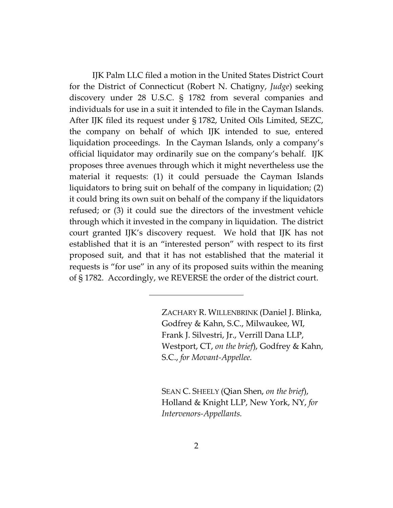IJK Palm LLC filed a motion in the United States District Court for the District of Connecticut (Robert N. Chatigny, *Judge*) seeking discovery under 28 U.S.C. § 1782 from several companies and individuals for use in a suit it intended to file in the Cayman Islands. After IJK filed its request under § 1782, United Oils Limited, SEZC, the company on behalf of which IJK intended to sue, entered liquidation proceedings. In the Cayman Islands, only a company's official liquidator may ordinarily sue on the company's behalf. IJK proposes three avenues through which it might nevertheless use the material it requests: (1) it could persuade the Cayman Islands liquidators to bring suit on behalf of the company in liquidation; (2) it could bring its own suit on behalf of the company if the liquidators refused; or (3) it could sue the directors of the investment vehicle through which it invested in the company in liquidation. The district court granted IJK's discovery request. We hold that IJK has not established that it is an "interested person" with respect to its first proposed suit, and that it has not established that the material it requests is "for use" in any of its proposed suits within the meaning of § 1782. Accordingly, we REVERSE the order of the district court.

> ZACHARY R. WILLENBRINK (Daniel J. Blinka, Godfrey & Kahn, S.C., Milwaukee, WI, Frank J. Silvestri, Jr., Verrill Dana LLP, Westport, CT, *on the brief*), Godfrey & Kahn, S.C., *for Movant-Appellee.*

SEAN C. SHEELY (Qian Shen, *on the brief*), Holland & Knight LLP, New York, NY, *for Intervenors-Appellants.*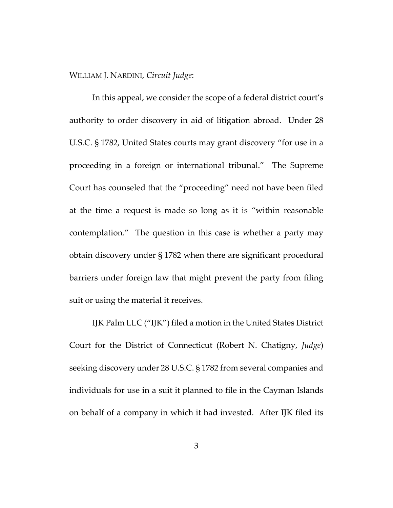WILLIAM J. NARDINI, *Circuit Judge*:

In this appeal, we consider the scope of a federal district court's authority to order discovery in aid of litigation abroad. Under 28 U.S.C. § 1782, United States courts may grant discovery "for use in a proceeding in a foreign or international tribunal." The Supreme Court has counseled that the "proceeding" need not have been filed at the time a request is made so long as it is "within reasonable contemplation." The question in this case is whether a party may obtain discovery under § 1782 when there are significant procedural barriers under foreign law that might prevent the party from filing suit or using the material it receives.

IJK Palm LLC ("IJK") filed a motion in the United States District Court for the District of Connecticut (Robert N. Chatigny, *Judge*) seeking discovery under 28 U.S.C. § 1782 from several companies and individuals for use in a suit it planned to file in the Cayman Islands on behalf of a company in which it had invested. After IJK filed its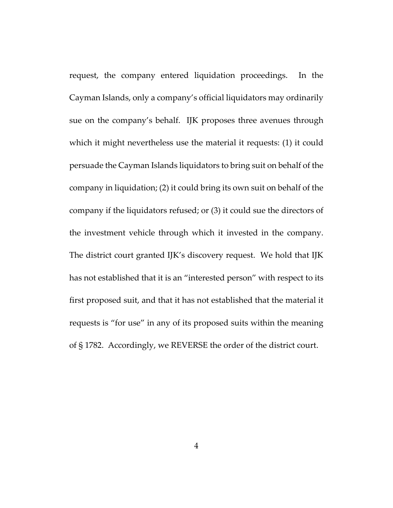request, the company entered liquidation proceedings. In the Cayman Islands, only a company's official liquidators may ordinarily sue on the company's behalf. IJK proposes three avenues through which it might nevertheless use the material it requests: (1) it could persuade the Cayman Islands liquidators to bring suit on behalf of the company in liquidation; (2) it could bring its own suit on behalf of the company if the liquidators refused; or (3) it could sue the directors of the investment vehicle through which it invested in the company. The district court granted IJK's discovery request. We hold that IJK has not established that it is an "interested person" with respect to its first proposed suit, and that it has not established that the material it requests is "for use" in any of its proposed suits within the meaning of § 1782. Accordingly, we REVERSE the order of the district court.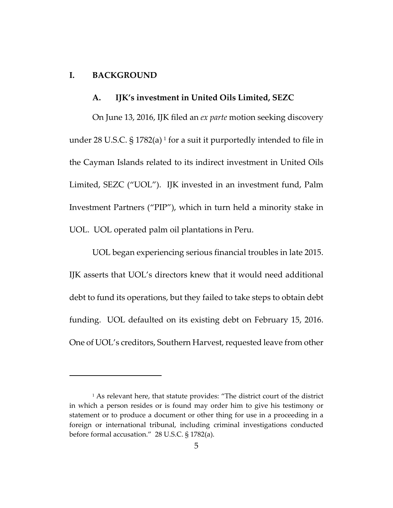# **I. BACKGROUND**

#### **A. IJK's investment in United Oils Limited, SEZC**

On June 13, 2016, IJK filed an *ex parte* motion seeking discovery under 28 U.S.C.  $\S 1782(a)$  $\S 1782(a)$  $\S 1782(a)$ <sup>1</sup> for a suit it purportedly intended to file in the Cayman Islands related to its indirect investment in United Oils Limited, SEZC ("UOL"). IJK invested in an investment fund, Palm Investment Partners ("PIP"), which in turn held a minority stake in UOL. UOL operated palm oil plantations in Peru.

UOL began experiencing serious financial troubles in late 2015. IJK asserts that UOL's directors knew that it would need additional debt to fund its operations, but they failed to take steps to obtain debt funding. UOL defaulted on its existing debt on February 15, 2016. One of UOL's creditors, Southern Harvest, requested leave from other

<span id="page-4-0"></span><sup>&</sup>lt;sup>1</sup> As relevant here, that statute provides: "The district court of the district in which a person resides or is found may order him to give his testimony or statement or to produce a document or other thing for use in a proceeding in a foreign or international tribunal, including criminal investigations conducted before formal accusation." 28 U.S.C. § 1782(a).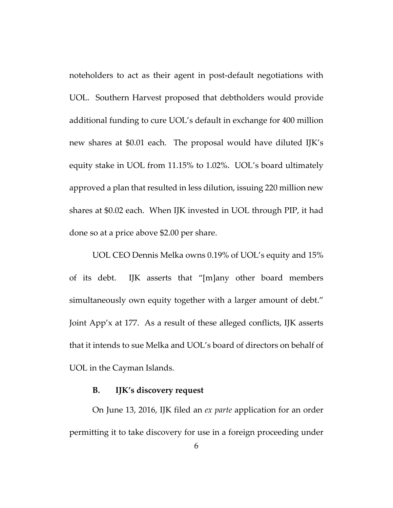noteholders to act as their agent in post-default negotiations with UOL. Southern Harvest proposed that debtholders would provide additional funding to cure UOL's default in exchange for 400 million new shares at \$0.01 each. The proposal would have diluted IJK's equity stake in UOL from 11.15% to 1.02%. UOL's board ultimately approved a plan that resulted in less dilution, issuing 220 million new shares at \$0.02 each. When IJK invested in UOL through PIP, it had done so at a price above \$2.00 per share.

UOL CEO Dennis Melka owns 0.19% of UOL's equity and 15% of its debt. IJK asserts that "[m]any other board members simultaneously own equity together with a larger amount of debt." Joint App'x at 177. As a result of these alleged conflicts, IJK asserts that it intends to sue Melka and UOL's board of directors on behalf of UOL in the Cayman Islands.

#### **B. IJK's discovery request**

On June 13, 2016, IJK filed an *ex parte* application for an order permitting it to take discovery for use in a foreign proceeding under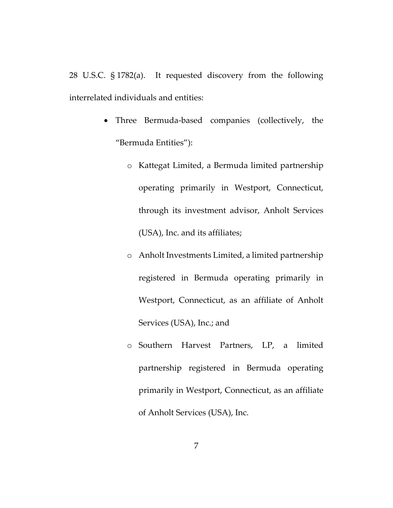28 U.S.C. § 1782(a). It requested discovery from the following interrelated individuals and entities:

- Three Bermuda-based companies (collectively, the "Bermuda Entities"):
	- o Kattegat Limited, a Bermuda limited partnership operating primarily in Westport, Connecticut, through its investment advisor, Anholt Services (USA), Inc. and its affiliates;
	- o Anholt Investments Limited, a limited partnership registered in Bermuda operating primarily in Westport, Connecticut, as an affiliate of Anholt Services (USA), Inc.; and
	- o Southern Harvest Partners, LP, a limited partnership registered in Bermuda operating primarily in Westport, Connecticut, as an affiliate of Anholt Services (USA), Inc.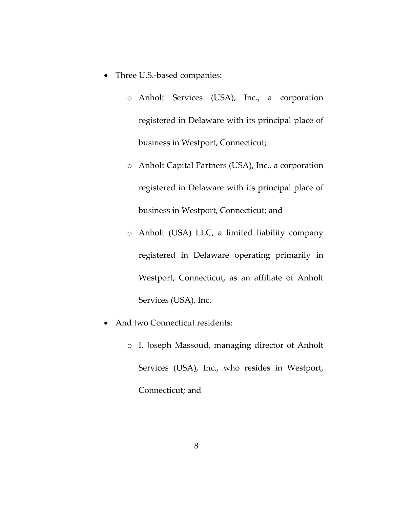- Three U.S.-based companies:
	- o Anholt Services (USA), Inc., a corporation registered in Delaware with its principal place of business in Westport, Connecticut;
	- o Anholt Capital Partners (USA), Inc., a corporation registered in Delaware with its principal place of business in Westport, Connecticut; and
	- o Anholt (USA) LLC, a limited liability company registered in Delaware operating primarily in Westport, Connecticut, as an affiliate of Anholt Services (USA), Inc.
- And two Connecticut residents:
	- o I. Joseph Massoud, managing director of Anholt Services (USA), Inc., who resides in Westport, Connecticut; and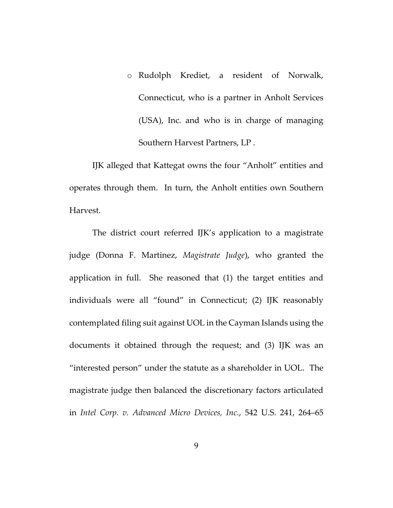o Rudolph Krediet, a resident of Norwalk, Connecticut, who is a partner in Anholt Services (USA), Inc. and who is in charge of managing Southern Harvest Partners, LP .

IJK alleged that Kattegat owns the four "Anholt" entities and operates through them. In turn, the Anholt entities own Southern Harvest.

The district court referred IJK's application to a magistrate judge (Donna F. Martinez, *Magistrate Judge*), who granted the application in full. She reasoned that (1) the target entities and individuals were all "found" in Connecticut; (2) IJK reasonably contemplated filing suit against UOL in the Cayman Islands using the documents it obtained through the request; and (3) IJK was an "interested person" under the statute as a shareholder in UOL. The magistrate judge then balanced the discretionary factors articulated in *Intel Corp. v. Advanced Micro Devices, Inc.*, 542 U.S. 241, 264–65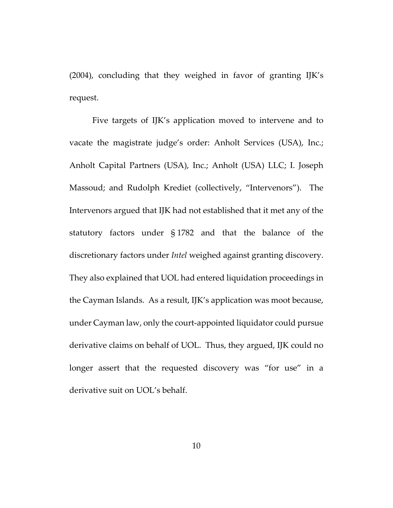(2004), concluding that they weighed in favor of granting IJK's request.

Five targets of IJK's application moved to intervene and to vacate the magistrate judge's order: Anholt Services (USA), Inc.; Anholt Capital Partners (USA), Inc.; Anholt (USA) LLC; I. Joseph Massoud; and Rudolph Krediet (collectively, "Intervenors"). The Intervenors argued that IJK had not established that it met any of the statutory factors under § 1782 and that the balance of the discretionary factors under *Intel* weighed against granting discovery. They also explained that UOL had entered liquidation proceedings in the Cayman Islands. As a result, IJK's application was moot because, under Cayman law, only the court-appointed liquidator could pursue derivative claims on behalf of UOL. Thus, they argued, IJK could no longer assert that the requested discovery was "for use" in a derivative suit on UOL's behalf.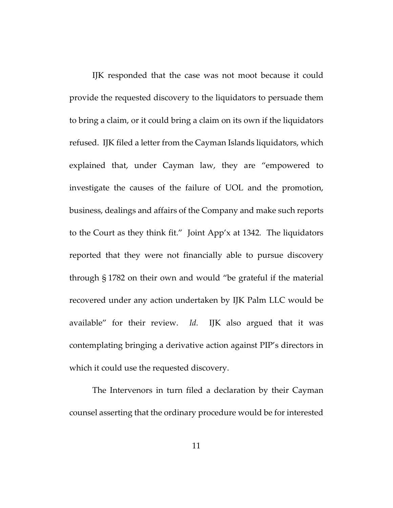IJK responded that the case was not moot because it could provide the requested discovery to the liquidators to persuade them to bring a claim, or it could bring a claim on its own if the liquidators refused. IJK filed a letter from the Cayman Islands liquidators, which explained that, under Cayman law, they are "empowered to investigate the causes of the failure of UOL and the promotion, business, dealings and affairs of the Company and make such reports to the Court as they think fit." Joint App'x at 1342*.* The liquidators reported that they were not financially able to pursue discovery through § 1782 on their own and would "be grateful if the material recovered under any action undertaken by IJK Palm LLC would be available" for their review. *Id.* IJK also argued that it was contemplating bringing a derivative action against PIP's directors in which it could use the requested discovery.

The Intervenors in turn filed a declaration by their Cayman counsel asserting that the ordinary procedure would be for interested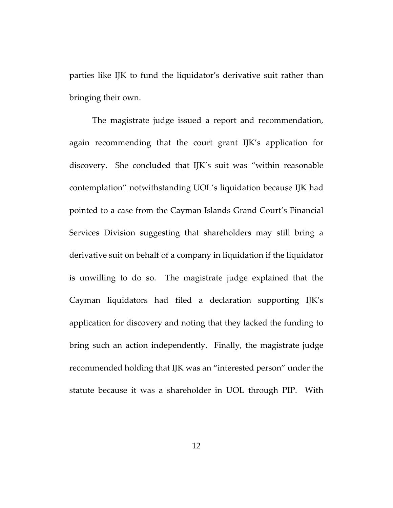parties like IJK to fund the liquidator's derivative suit rather than bringing their own.

The magistrate judge issued a report and recommendation, again recommending that the court grant IJK's application for discovery. She concluded that IJK's suit was "within reasonable contemplation" notwithstanding UOL's liquidation because IJK had pointed to a case from the Cayman Islands Grand Court's Financial Services Division suggesting that shareholders may still bring a derivative suit on behalf of a company in liquidation if the liquidator is unwilling to do so. The magistrate judge explained that the Cayman liquidators had filed a declaration supporting IJK's application for discovery and noting that they lacked the funding to bring such an action independently. Finally, the magistrate judge recommended holding that IJK was an "interested person" under the statute because it was a shareholder in UOL through PIP. With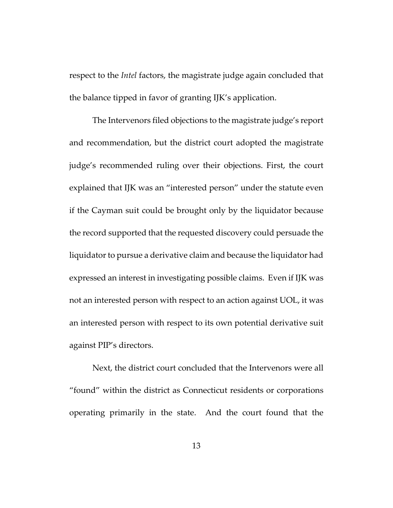respect to the *Intel* factors, the magistrate judge again concluded that the balance tipped in favor of granting IJK's application.

The Intervenors filed objections to the magistrate judge's report and recommendation, but the district court adopted the magistrate judge's recommended ruling over their objections. First, the court explained that IJK was an "interested person" under the statute even if the Cayman suit could be brought only by the liquidator because the record supported that the requested discovery could persuade the liquidator to pursue a derivative claim and because the liquidator had expressed an interest in investigating possible claims. Even if IJK was not an interested person with respect to an action against UOL, it was an interested person with respect to its own potential derivative suit against PIP's directors.

Next, the district court concluded that the Intervenors were all "found" within the district as Connecticut residents or corporations operating primarily in the state. And the court found that the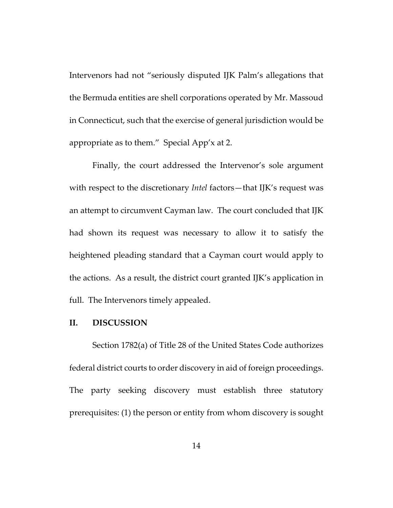Intervenors had not "seriously disputed IJK Palm's allegations that the Bermuda entities are shell corporations operated by Mr. Massoud in Connecticut, such that the exercise of general jurisdiction would be appropriate as to them." Special App'x at 2.

Finally, the court addressed the Intervenor's sole argument with respect to the discretionary *Intel* factors—that IJK's request was an attempt to circumvent Cayman law. The court concluded that IJK had shown its request was necessary to allow it to satisfy the heightened pleading standard that a Cayman court would apply to the actions. As a result, the district court granted IJK's application in full. The Intervenors timely appealed.

#### **II. DISCUSSION**

Section 1782(a) of Title 28 of the United States Code authorizes federal district courts to order discovery in aid of foreign proceedings. The party seeking discovery must establish three statutory prerequisites: (1) the person or entity from whom discovery is sought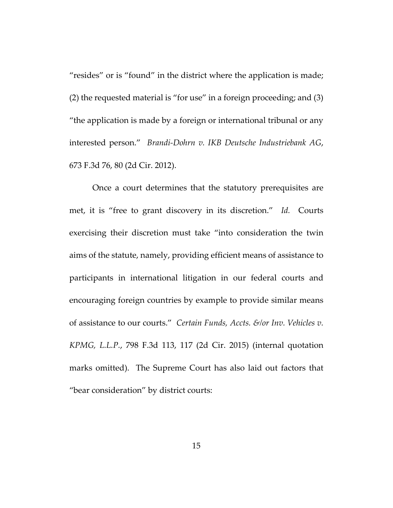"resides" or is "found" in the district where the application is made; (2) the requested material is "for use" in a foreign proceeding; and (3) "the application is made by a foreign or international tribunal or any interested person." *Brandi-Dohrn v. IKB Deutsche Industriebank AG*, 673 F.3d 76, 80 (2d Cir. 2012).

Once a court determines that the statutory prerequisites are met, it is "free to grant discovery in its discretion." *Id.* Courts exercising their discretion must take "into consideration the twin aims of the statute, namely, providing efficient means of assistance to participants in international litigation in our federal courts and encouraging foreign countries by example to provide similar means of assistance to our courts." *Certain Funds, Accts. &/or Inv. Vehicles v. KPMG, L.L.P.*, 798 F.3d 113, 117 (2d Cir. 2015) (internal quotation marks omitted). The Supreme Court has also laid out factors that "bear consideration" by district courts: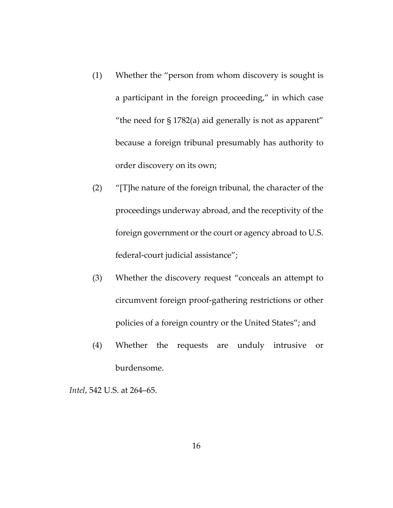- (1) Whether the "person from whom discovery is sought is a participant in the foreign proceeding," in which case "the need for § 1782(a) aid generally is not as apparent" because a foreign tribunal presumably has authority to order discovery on its own;
- (2) "[T]he nature of the foreign tribunal, the character of the proceedings underway abroad, and the receptivity of the foreign government or the court or agency abroad to U.S. federal-court judicial assistance";
- (3) Whether the discovery request "conceals an attempt to circumvent foreign proof-gathering restrictions or other policies of a foreign country or the United States"; and
- (4) Whether the requests are unduly intrusive or burdensome.

*Intel*, 542 U.S. at 264–65.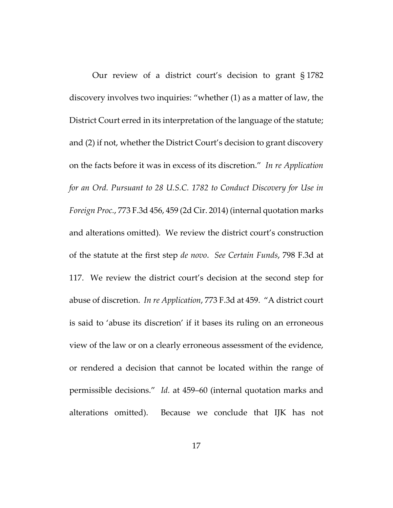Our review of a district court's decision to grant § 1782 discovery involves two inquiries: "whether (1) as a matter of law, the District Court erred in its interpretation of the language of the statute; and (2) if not, whether the District Court's decision to grant discovery on the facts before it was in excess of its discretion." *In re Application for an Ord. Pursuant to 28 U.S.C. 1782 to Conduct Discovery for Use in Foreign Proc.*, 773 F.3d 456, 459 (2d Cir. 2014) (internal quotation marks and alterations omitted). We review the district court's construction of the statute at the first step *de novo*. *See Certain Funds*, 798 F.3d at 117. We review the district court's decision at the second step for abuse of discretion. *In re Application*, 773 F.3d at 459. "A district court is said to 'abuse its discretion' if it bases its ruling on an erroneous view of the law or on a clearly erroneous assessment of the evidence, or rendered a decision that cannot be located within the range of permissible decisions." *Id.* at 459–60 (internal quotation marks and alterations omitted). Because we conclude that IJK has not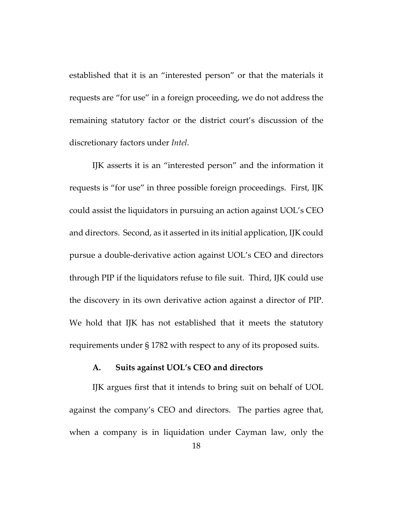established that it is an "interested person" or that the materials it requests are "for use" in a foreign proceeding, we do not address the remaining statutory factor or the district court's discussion of the discretionary factors under *Intel*.

IJK asserts it is an "interested person" and the information it requests is "for use" in three possible foreign proceedings. First, IJK could assist the liquidators in pursuing an action against UOL's CEO and directors.Second, as it asserted in its initial application, IJK could pursue a double-derivative action against UOL's CEO and directors through PIP if the liquidators refuse to file suit. Third, IJK could use the discovery in its own derivative action against a director of PIP. We hold that IJK has not established that it meets the statutory requirements under § 1782 with respect to any of its proposed suits.

### **A. Suits against UOL's CEO and directors**

IJK argues first that it intends to bring suit on behalf of UOL against the company's CEO and directors. The parties agree that, when a company is in liquidation under Cayman law, only the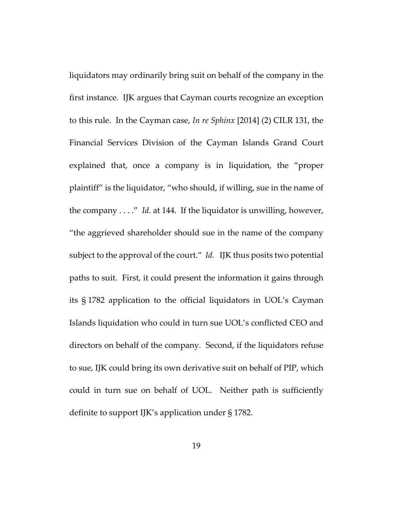liquidators may ordinarily bring suit on behalf of the company in the first instance. IJK argues that Cayman courts recognize an exception to this rule. In the Cayman case, *In re Sphinx* [2014] (2) CILR 131, the Financial Services Division of the Cayman Islands Grand Court explained that, once a company is in liquidation, the "proper plaintiff" is the liquidator, "who should, if willing, sue in the name of the company . . . ." *Id.* at 144. If the liquidator is unwilling, however, "the aggrieved shareholder should sue in the name of the company subject to the approval of the court." *Id.* IJK thus posits two potential paths to suit. First, it could present the information it gains through its § 1782 application to the official liquidators in UOL's Cayman Islands liquidation who could in turn sue UOL's conflicted CEO and directors on behalf of the company. Second, if the liquidators refuse to sue, IJK could bring its own derivative suit on behalf of PIP, which could in turn sue on behalf of UOL. Neither path is sufficiently definite to support IJK's application under § 1782.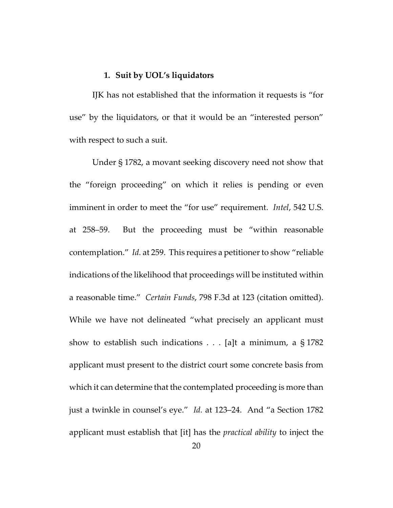### **1. Suit by UOL's liquidators**

IJK has not established that the information it requests is "for use" by the liquidators, or that it would be an "interested person" with respect to such a suit.

Under § 1782, a movant seeking discovery need not show that the "foreign proceeding" on which it relies is pending or even imminent in order to meet the "for use" requirement. *Intel*, 542 U.S. at 258–59. But the proceeding must be "within reasonable contemplation." *Id.* at 259. This requires a petitioner to show "reliable indications of the likelihood that proceedings will be instituted within a reasonable time." *Certain Funds*, 798 F.3d at 123 (citation omitted). While we have not delineated "what precisely an applicant must show to establish such indications . . . [a]t a minimum, a § 1782 applicant must present to the district court some concrete basis from which it can determine that the contemplated proceeding is more than just a twinkle in counsel's eye." *Id.* at 123–24. And "a Section 1782 applicant must establish that [it] has the *practical ability* to inject the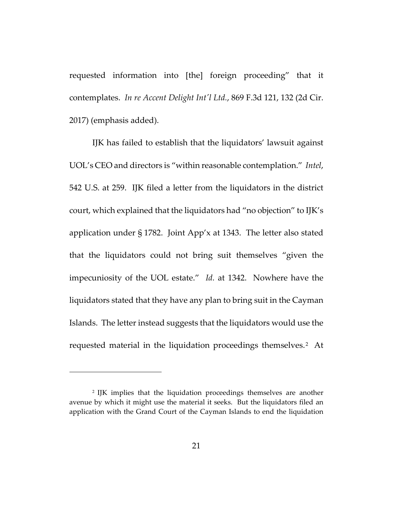requested information into [the] foreign proceeding" that it contemplates. *In re Accent Delight Int'l Ltd.*, 869 F.3d 121, 132 (2d Cir. 2017) (emphasis added).

IJK has failed to establish that the liquidators' lawsuit against UOL's CEO and directors is "within reasonable contemplation." *Intel*, 542 U.S. at 259. IJK filed a letter from the liquidators in the district court, which explained that the liquidators had "no objection" to IJK's application under § 1782. Joint App'x at 1343. The letter also stated that the liquidators could not bring suit themselves "given the impecuniosity of the UOL estate." *Id.* at 1342. Nowhere have the liquidators stated that they have any plan to bring suit in the Cayman Islands. The letter instead suggests that the liquidators would use the requested material in the liquidation proceedings themselves.<sup>[2](#page-20-0)</sup> At

<span id="page-20-0"></span><sup>2</sup> IJK implies that the liquidation proceedings themselves are another avenue by which it might use the material it seeks. But the liquidators filed an application with the Grand Court of the Cayman Islands to end the liquidation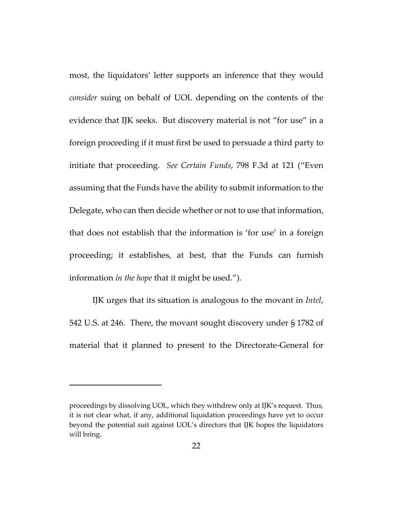most, the liquidators' letter supports an inference that they would *consider* suing on behalf of UOL depending on the contents of the evidence that IJK seeks. But discovery material is not "for use" in a foreign proceeding if it must first be used to persuade a third party to initiate that proceeding. *See Certain Funds*, 798 F.3d at 121 ("Even assuming that the Funds have the ability to submit information to the Delegate, who can then decide whether or not to use that information, that does not establish that the information is 'for use' in a foreign proceeding; it establishes, at best, that the Funds can furnish information *in the hope* that it might be used.").

IJK urges that its situation is analogous to the movant in *Intel*, 542 U.S. at 246. There, the movant sought discovery under § 1782 of material that it planned to present to the Directorate-General for

proceedings by dissolving UOL, which they withdrew only at IJK's request. Thus, it is not clear what, if any, additional liquidation proceedings have yet to occur beyond the potential suit against UOL's directors that IJK hopes the liquidators will bring.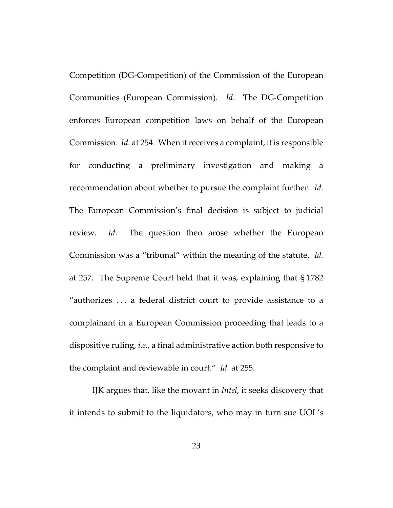Competition (DG-Competition) of the Commission of the European Communities (European Commission). *Id*. The DG-Competition enforces European competition laws on behalf of the European Commission. *Id.* at 254. When it receives a complaint, it is responsible for conducting a preliminary investigation and making a recommendation about whether to pursue the complaint further. *Id.* The European Commission's final decision is subject to judicial review. *Id*. The question then arose whether the European Commission was a "tribunal" within the meaning of the statute. *Id.* at 257. The Supreme Court held that it was, explaining that § 1782 "authorizes . . . a federal district court to provide assistance to a complainant in a European Commission proceeding that leads to a dispositive ruling, *i.e.*, a final administrative action both responsive to the complaint and reviewable in court." *Id.* at 255.

IJK argues that, like the movant in *Intel*, it seeks discovery that it intends to submit to the liquidators, who may in turn sue UOL's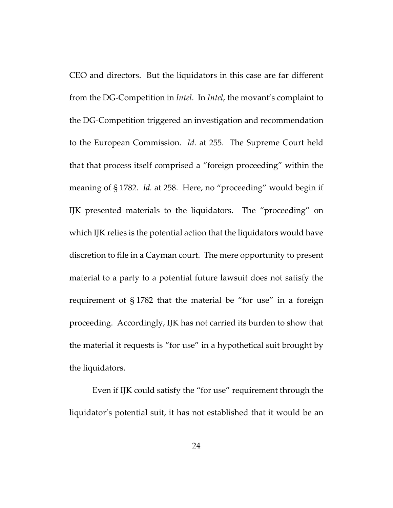CEO and directors. But the liquidators in this case are far different from the DG-Competition in *Intel*. In *Intel*, the movant's complaint to the DG-Competition triggered an investigation and recommendation to the European Commission. *Id.* at 255. The Supreme Court held that that process itself comprised a "foreign proceeding" within the meaning of § 1782. *Id.* at 258. Here, no "proceeding" would begin if IJK presented materials to the liquidators. The "proceeding" on which IJK relies is the potential action that the liquidators would have discretion to file in a Cayman court. The mere opportunity to present material to a party to a potential future lawsuit does not satisfy the requirement of § 1782 that the material be "for use" in a foreign proceeding. Accordingly, IJK has not carried its burden to show that the material it requests is "for use" in a hypothetical suit brought by the liquidators.

Even if IJK could satisfy the "for use" requirement through the liquidator's potential suit, it has not established that it would be an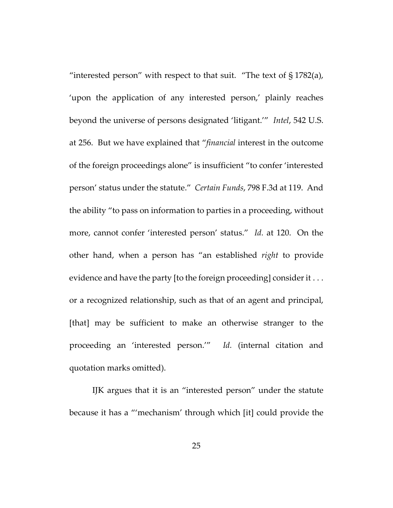"interested person" with respect to that suit. "The text of  $\S 1782(a)$ , 'upon the application of any interested person,' plainly reaches beyond the universe of persons designated 'litigant.'" *Intel*, 542 U.S. at 256. But we have explained that "*financial* interest in the outcome of the foreign proceedings alone" is insufficient "to confer 'interested person' status under the statute." *Certain Funds*, 798 F.3d at 119. And the ability "to pass on information to parties in a proceeding, without more, cannot confer 'interested person' status." *Id.* at 120. On the other hand, when a person has "an established *right* to provide evidence and have the party [to the foreign proceeding] consider it . . . or a recognized relationship, such as that of an agent and principal, [that] may be sufficient to make an otherwise stranger to the proceeding an 'interested person.'" *Id.* (internal citation and quotation marks omitted).

IJK argues that it is an "interested person" under the statute because it has a "'mechanism' through which [it] could provide the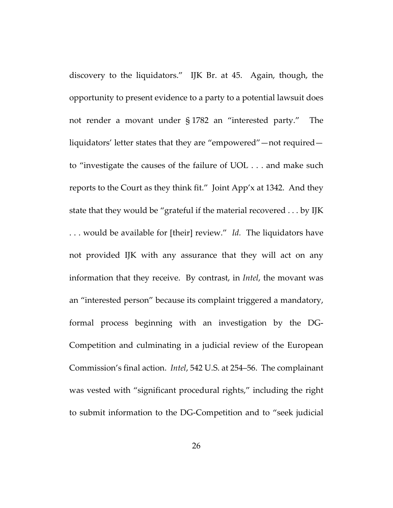discovery to the liquidators." IJK Br. at 45. Again, though, the opportunity to present evidence to a party to a potential lawsuit does not render a movant under § 1782 an "interested party." The liquidators' letter states that they are "empowered"—not required to "investigate the causes of the failure of UOL . . . and make such reports to the Court as they think fit." Joint App'x at 1342. And they state that they would be "grateful if the material recovered . . . by IJK . . . would be available for [their] review." *Id.* The liquidators have not provided IJK with any assurance that they will act on any information that they receive. By contrast, in *Intel*, the movant was an "interested person" because its complaint triggered a mandatory, formal process beginning with an investigation by the DG-Competition and culminating in a judicial review of the European Commission's final action. *Intel*, 542 U.S. at 254–56. The complainant was vested with "significant procedural rights," including the right to submit information to the DG-Competition and to "seek judicial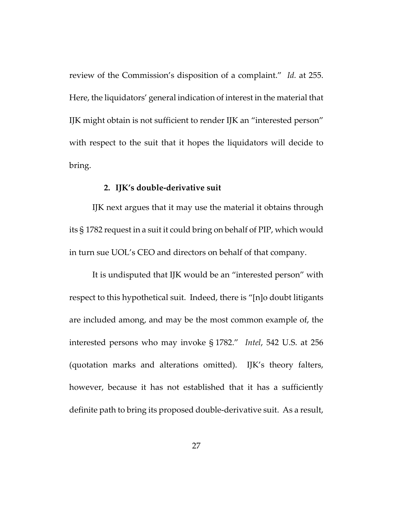review of the Commission's disposition of a complaint." *Id.* at 255. Here, the liquidators' general indication of interest in the material that IJK might obtain is not sufficient to render IJK an "interested person" with respect to the suit that it hopes the liquidators will decide to bring.

### **2. IJK's double-derivative suit**

IJK next argues that it may use the material it obtains through its § 1782 request in a suit it could bring on behalf of PIP, which would in turn sue UOL's CEO and directors on behalf of that company.

It is undisputed that IJK would be an "interested person" with respect to this hypothetical suit. Indeed, there is "[n]o doubt litigants are included among, and may be the most common example of, the interested persons who may invoke § 1782." *Intel*, 542 U.S. at 256 (quotation marks and alterations omitted). IJK's theory falters, however, because it has not established that it has a sufficiently definite path to bring its proposed double-derivative suit. As a result,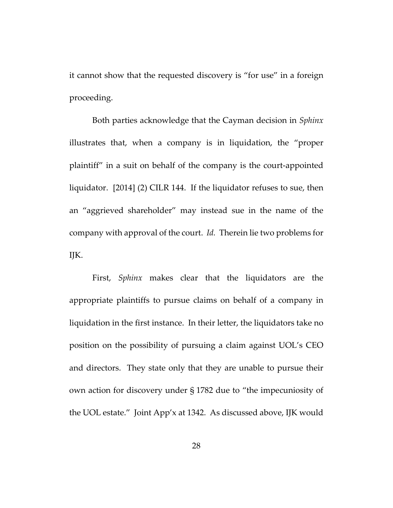it cannot show that the requested discovery is "for use" in a foreign proceeding.

Both parties acknowledge that the Cayman decision in *Sphinx* illustrates that, when a company is in liquidation, the "proper plaintiff" in a suit on behalf of the company is the court-appointed liquidator. [2014] (2) CILR 144. If the liquidator refuses to sue, then an "aggrieved shareholder" may instead sue in the name of the company with approval of the court. *Id.* Therein lie two problems for IJK.

First, *Sphinx* makes clear that the liquidators are the appropriate plaintiffs to pursue claims on behalf of a company in liquidation in the first instance. In their letter, the liquidators take no position on the possibility of pursuing a claim against UOL's CEO and directors. They state only that they are unable to pursue their own action for discovery under § 1782 due to "the impecuniosity of the UOL estate." Joint App'x at 1342. As discussed above, IJK would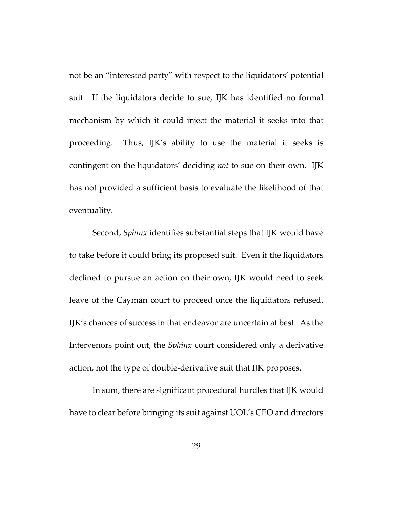not be an "interested party" with respect to the liquidators' potential suit. If the liquidators decide to sue, IJK has identified no formal mechanism by which it could inject the material it seeks into that proceeding. Thus, IJK's ability to use the material it seeks is contingent on the liquidators' deciding *not* to sue on their own. IJK has not provided a sufficient basis to evaluate the likelihood of that eventuality.

Second, *Sphinx* identifies substantial steps that IJK would have to take before it could bring its proposed suit. Even if the liquidators declined to pursue an action on their own, IJK would need to seek leave of the Cayman court to proceed once the liquidators refused. IJK's chances of success in that endeavor are uncertain at best. As the Intervenors point out, the *Sphinx* court considered only a derivative action, not the type of double-derivative suit that IJK proposes.

In sum, there are significant procedural hurdles that IJK would have to clear before bringing its suit against UOL's CEO and directors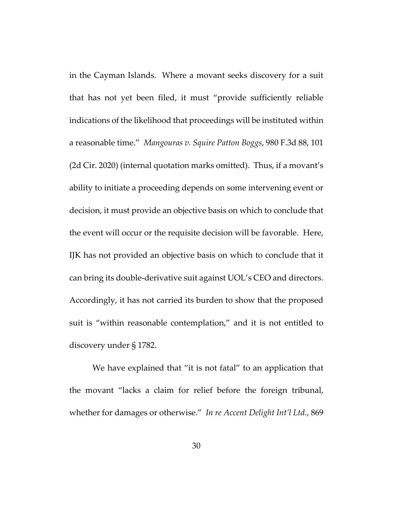in the Cayman Islands. Where a movant seeks discovery for a suit that has not yet been filed, it must "provide sufficiently reliable indications of the likelihood that proceedings will be instituted within a reasonable time." *Mangouras v. Squire Patton Boggs*, 980 F.3d 88, 101 (2d Cir. 2020) (internal quotation marks omitted). Thus, if a movant's ability to initiate a proceeding depends on some intervening event or decision, it must provide an objective basis on which to conclude that the event will occur or the requisite decision will be favorable. Here, IJK has not provided an objective basis on which to conclude that it can bring its double-derivative suit against UOL's CEO and directors. Accordingly, it has not carried its burden to show that the proposed suit is "within reasonable contemplation," and it is not entitled to discovery under § 1782.

We have explained that "it is not fatal" to an application that the movant "lacks a claim for relief before the foreign tribunal, whether for damages or otherwise." *In re Accent Delight Int'l Ltd.*, 869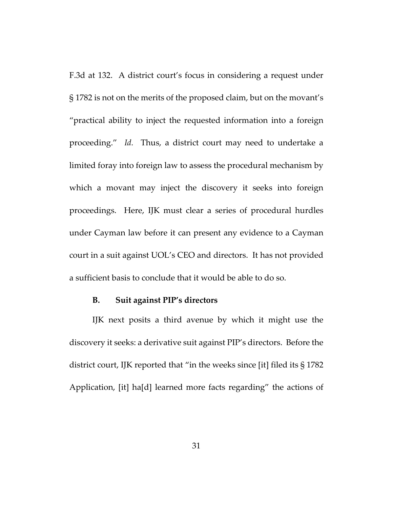F.3d at 132. A district court's focus in considering a request under § 1782 is not on the merits of the proposed claim, but on the movant's "practical ability to inject the requested information into a foreign proceeding." *Id.* Thus, a district court may need to undertake a limited foray into foreign law to assess the procedural mechanism by which a movant may inject the discovery it seeks into foreign proceedings. Here, IJK must clear a series of procedural hurdles under Cayman law before it can present any evidence to a Cayman court in a suit against UOL's CEO and directors. It has not provided a sufficient basis to conclude that it would be able to do so.

#### **B. Suit against PIP's directors**

IJK next posits a third avenue by which it might use the discovery it seeks: a derivative suit against PIP's directors. Before the district court, IJK reported that "in the weeks since [it] filed its § 1782 Application, [it] ha[d] learned more facts regarding" the actions of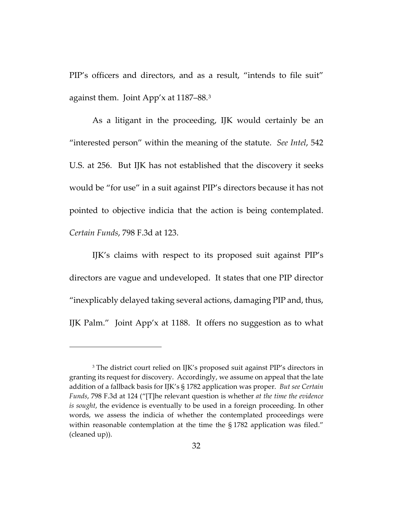PIP's officers and directors, and as a result, "intends to file suit" against them. Joint App'x at 1187–88.[3](#page-31-0) 

As a litigant in the proceeding, IJK would certainly be an "interested person" within the meaning of the statute. *See Intel*, 542 U.S. at 256. But IJK has not established that the discovery it seeks would be "for use" in a suit against PIP's directors because it has not pointed to objective indicia that the action is being contemplated. *Certain Funds*, 798 F.3d at 123.

IJK's claims with respect to its proposed suit against PIP's directors are vague and undeveloped. It states that one PIP director "inexplicably delayed taking several actions, damaging PIP and, thus, IJK Palm." Joint App'x at 1188. It offers no suggestion as to what

<span id="page-31-0"></span><sup>3</sup> The district court relied on IJK's proposed suit against PIP's directors in granting its request for discovery. Accordingly, we assume on appeal that the late addition of a fallback basis for IJK's § 1782 application was proper. *But see Certain Funds*, 798 F.3d at 124 ("[T]he relevant question is whether *at the time the evidence is sought*, the evidence is eventually to be used in a foreign proceeding. In other words, we assess the indicia of whether the contemplated proceedings were within reasonable contemplation at the time the §1782 application was filed." (cleaned up)).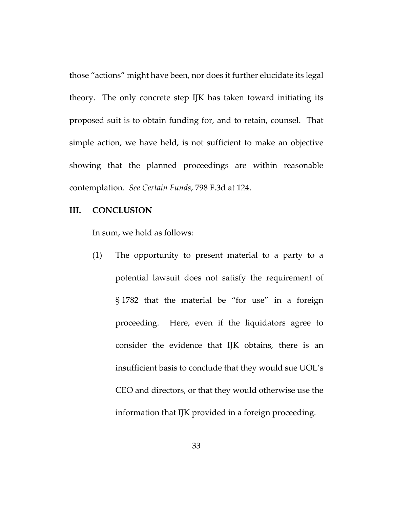those "actions" might have been, nor does it further elucidate its legal theory. The only concrete step IJK has taken toward initiating its proposed suit is to obtain funding for, and to retain, counsel. That simple action, we have held, is not sufficient to make an objective showing that the planned proceedings are within reasonable contemplation. *See Certain Funds*, 798 F.3d at 124.

## **III. CONCLUSION**

In sum, we hold as follows:

(1) The opportunity to present material to a party to a potential lawsuit does not satisfy the requirement of § 1782 that the material be "for use" in a foreign proceeding. Here, even if the liquidators agree to consider the evidence that IJK obtains, there is an insufficient basis to conclude that they would sue UOL's CEO and directors, or that they would otherwise use the information that IJK provided in a foreign proceeding.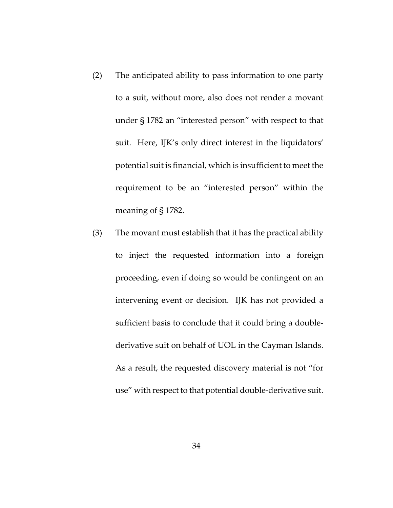- (2) The anticipated ability to pass information to one party to a suit, without more, also does not render a movant under § 1782 an "interested person" with respect to that suit. Here, IJK's only direct interest in the liquidators' potential suit is financial, which is insufficient to meet the requirement to be an "interested person" within the meaning of § 1782.
- (3) The movant must establish that it has the practical ability to inject the requested information into a foreign proceeding, even if doing so would be contingent on an intervening event or decision. IJK has not provided a sufficient basis to conclude that it could bring a doublederivative suit on behalf of UOL in the Cayman Islands. As a result, the requested discovery material is not "for use" with respect to that potential double-derivative suit.